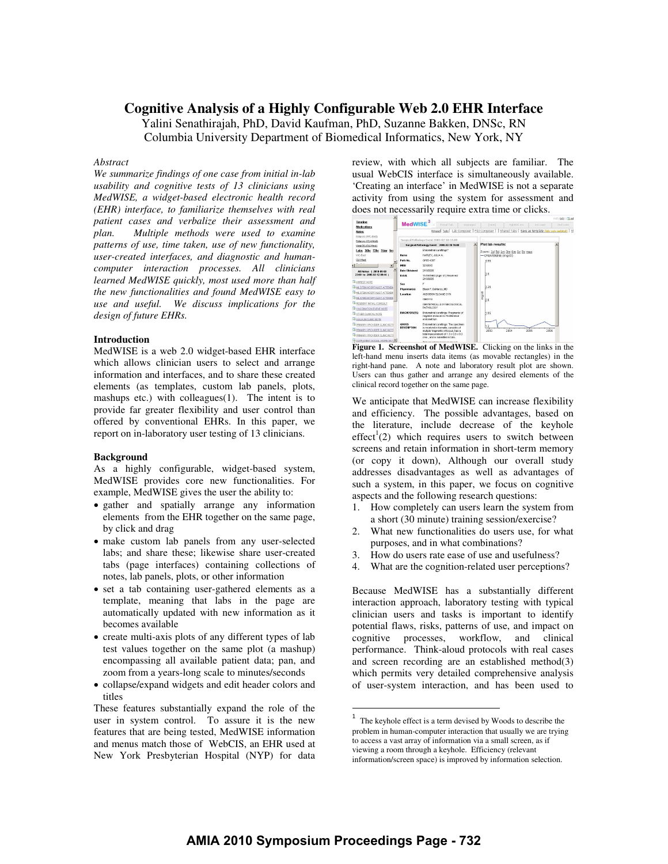# **Cognitive Analysis of a Highly Configurable Web 2.0 EHR Interface**

Yalini Senathirajah, PhD, David Kaufman, PhD, Suzanne Bakken, DNSc, RN Columbia University Department of Biomedical Informatics, New York, NY

## *Abstract*

*We summarize findings of one case from initial in-lab usability and cognitive tests of 13 clinicians using MedWISE, a widget-based electronic health record (EHR) interface, to familiarize themselves with real patient cases and verbalize their assessment and plan. Multiple methods were used to examine patterns of use, time taken, use of new functionality, user-created interfaces, and diagnostic and humancomputer interaction processes. All clinicians learned MedWISE quickly, most used more than half the new functionalities and found MedWISE easy to use and useful. We discuss implications for the design of future EHRs.* 

### **Introduction**

MedWISE is a web 2.0 widget-based EHR interface which allows clinician users to select and arrange information and interfaces, and to share these created elements (as templates, custom lab panels, plots, mashups etc.) with colleagues(1). The intent is to provide far greater flexibility and user control than offered by conventional EHRs. In this paper, we report on in-laboratory user testing of 13 clinicians.

## **Background**

As a highly configurable, widget-based system, MedWISE provides core new functionalities. For example, MedWISE gives the user the ability to:

- gather and spatially arrange any information elements from the EHR together on the same page, by click and drag
- make custom lab panels from any user-selected labs; and share these; likewise share user-created tabs (page interfaces) containing collections of notes, lab panels, plots, or other information
- set a tab containing user-gathered elements as a template, meaning that labs in the page are automatically updated with new information as it becomes available
- create multi-axis plots of any different types of lab test values together on the same plot (a mashup) encompassing all available patient data; pan, and zoom from a years-long scale to minutes/seconds
- collapse/expand widgets and edit header colors and titles

These features substantially expand the role of the user in system control. To assure it is the new features that are being tested, MedWISE information and menus match those of WebCIS, an EHR used at New York Presbyterian Hospital (NYP) for data review, with which all subjects are familiar. The usual WebCIS interface is simultaneously available. 'Creating an interface' in MedWISE is not a separate activity from using the system for assessment and does not necessarily require extra time or clicks.



**Figure 1. Screenshot of MedWISE.** Clicking on the links in the left-hand menu inserts data items (as movable rectangles) in the right-hand pane. A note and laboratory result plot are shown. Users can thus gather and arrange any desired elements of the clinical record together on the same page.

We anticipate that MedWISE can increase flexibility and efficiency. The possible advantages, based on the literature, include decrease of the keyhole  $effect<sup>1</sup>(2)$  which requires users to switch between screens and retain information in short-term memory (or copy it down), Although our overall study addresses disadvantages as well as advantages of such a system, in this paper, we focus on cognitive aspects and the following research questions:

- 1. How completely can users learn the system from a short (30 minute) training session/exercise?
- 2. What new functionalities do users use, for what purposes, and in what combinations?
- 3. How do users rate ease of use and usefulness?
- 4. What are the cognition-related user perceptions?

Because MedWISE has a substantially different interaction approach, laboratory testing with typical clinician users and tasks is important to identify potential flaws, risks, patterns of use, and impact on cognitive processes, workflow, and clinical performance. Think-aloud protocols with real cases and screen recording are an established method(3) which permits very detailed comprehensive analysis of user-system interaction, and has been used to

 $\overline{a}$ 

<sup>1</sup> The keyhole effect is a term devised by Woods to describe the problem in human-computer interaction that usually we are trying to access a vast array of information via a small screen, as if viewing a room through a keyhole. Efficiency (relevant information/screen space) is improved by information selection.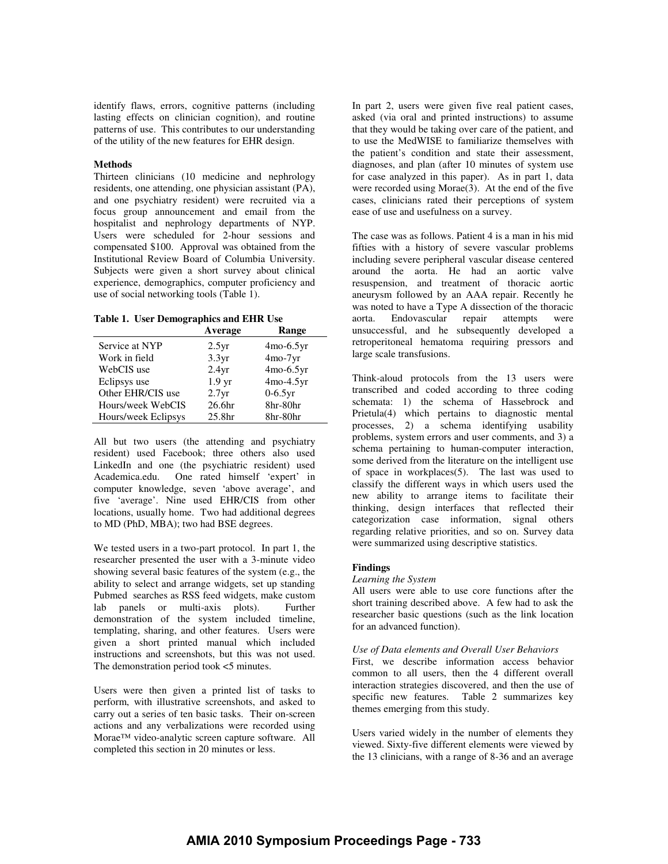identify flaws, errors, cognitive patterns (including lasting effects on clinician cognition), and routine patterns of use. This contributes to our understanding of the utility of the new features for EHR design.

## **Methods**

Thirteen clinicians (10 medicine and nephrology residents, one attending, one physician assistant (PA), and one psychiatry resident) were recruited via a focus group announcement and email from the hospitalist and nephrology departments of NYP. Users were scheduled for 2-hour sessions and compensated \$100. Approval was obtained from the Institutional Review Board of Columbia University. Subjects were given a short survey about clinical experience, demographics, computer proficiency and use of social networking tools (Table 1).

**Table 1. User Demographics and EHR Use** 

|                     | Average            | Range       |
|---------------------|--------------------|-------------|
| Service at NYP      | 2.5yr              | $4mo-6.5yr$ |
| Work in field       | 3.3yr              | $4mo-7yr$   |
| WebCIS use          | 2.4yr              | $4mo-6.5yr$ |
| Eclipsys use        | 1.9 <sub>yr</sub>  | $4mo-4.5yr$ |
| Other EHR/CIS use   | 2.7yr              | $0-6.5yr$   |
| Hours/week WebCIS   | 26.6 <sub>hr</sub> | 8hr-80hr    |
| Hours/week Eclipsys | 25.8 <sub>hr</sub> | 8hr-80hr    |

All but two users (the attending and psychiatry resident) used Facebook; three others also used LinkedIn and one (the psychiatric resident) used Academica.edu. One rated himself 'expert' in computer knowledge, seven 'above average', and five 'average'. Nine used EHR/CIS from other locations, usually home. Two had additional degrees to MD (PhD, MBA); two had BSE degrees.

We tested users in a two-part protocol. In part 1, the researcher presented the user with a 3-minute video showing several basic features of the system (e.g., the ability to select and arrange widgets, set up standing Pubmed searches as RSS feed widgets, make custom lab panels or multi-axis plots). Further demonstration of the system included timeline, templating, sharing, and other features. Users were given a short printed manual which included instructions and screenshots, but this was not used. The demonstration period took <5 minutes.

Users were then given a printed list of tasks to perform, with illustrative screenshots, and asked to carry out a series of ten basic tasks. Their on-screen actions and any verbalizations were recorded using Morae™ video-analytic screen capture software. All completed this section in 20 minutes or less.

In part 2, users were given five real patient cases, asked (via oral and printed instructions) to assume that they would be taking over care of the patient, and to use the MedWISE to familiarize themselves with the patient's condition and state their assessment, diagnoses, and plan (after 10 minutes of system use for case analyzed in this paper). As in part 1, data were recorded using  $Morae(3)$ . At the end of the five cases, clinicians rated their perceptions of system ease of use and usefulness on a survey.

The case was as follows. Patient 4 is a man in his mid fifties with a history of severe vascular problems including severe peripheral vascular disease centered around the aorta. He had an aortic valve resuspension, and treatment of thoracic aortic aneurysm followed by an AAA repair. Recently he was noted to have a Type A dissection of the thoracic aorta. Endovascular repair attempts were unsuccessful, and he subsequently developed a retroperitoneal hematoma requiring pressors and large scale transfusions.

Think-aloud protocols from the 13 users were transcribed and coded according to three coding schemata: 1) the schema of Hassebrock and Prietula(4) which pertains to diagnostic mental processes, 2) a schema identifying usability problems, system errors and user comments, and 3) a schema pertaining to human-computer interaction, some derived from the literature on the intelligent use of space in workplaces $(5)$ . The last was used to classify the different ways in which users used the new ability to arrange items to facilitate their thinking, design interfaces that reflected their categorization case information, signal others regarding relative priorities, and so on. Survey data were summarized using descriptive statistics.

## **Findings**

## *Learning the System*

All users were able to use core functions after the short training described above. A few had to ask the researcher basic questions (such as the link location for an advanced function).

## *Use of Data elements and Overall User Behaviors*

First, we describe information access behavior common to all users, then the 4 different overall interaction strategies discovered, and then the use of specific new features. Table 2 summarizes key themes emerging from this study.

Users varied widely in the number of elements they viewed. Sixty-five different elements were viewed by the 13 clinicians, with a range of 8-36 and an average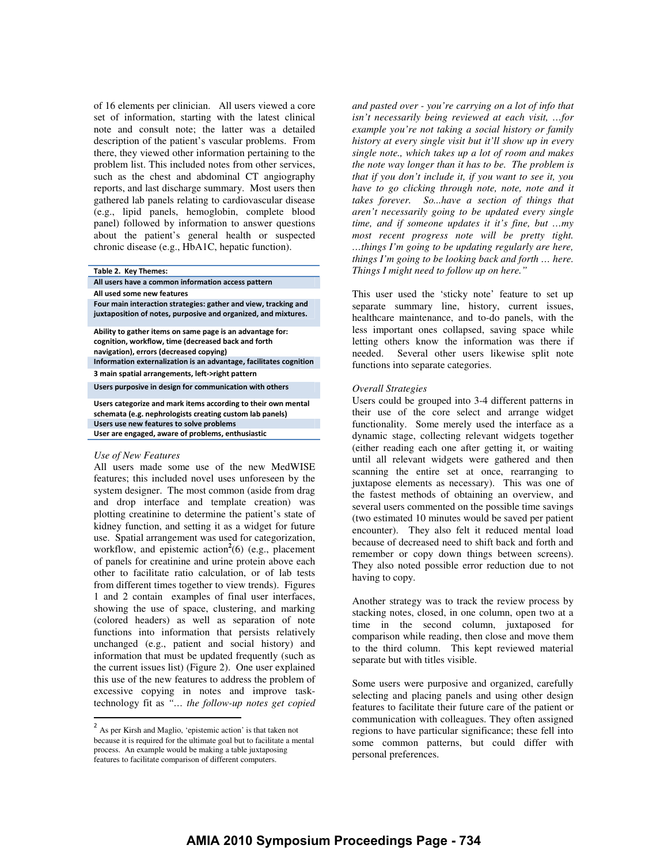of 16 elements per clinician. All users viewed a core set of information, starting with the latest clinical note and consult note; the latter was a detailed description of the patient's vascular problems. From there, they viewed other information pertaining to the problem list. This included notes from other services, such as the chest and abdominal CT angiography reports, and last discharge summary. Most users then gathered lab panels relating to cardiovascular disease (e.g., lipid panels, hemoglobin, complete blood panel) followed by information to answer questions about the patient's general health or suspected chronic disease (e.g., HbA1C, hepatic function).

#### Table 2. Key Themes:

All users have a common information access pattern

All used some new features

Four main interaction strategies: gather and view, tracking and juxtaposition of notes, purposive and organized, and mixtures.

Ability to gather items on same page is an advantage for: cognition, workflow, time (decreased back and forth navigation), errors (decreased copying)

Information externalization is an advantage, facilitates cognition 3 main spatial arrangements, left->right pattern

Users purposive in design for communication with others

Users categorize and mark items according to their own mental schemata (e.g. nephrologists creating custom lab panels) Users use new features to solve problems

User are engaged, aware of problems, enthusiastic

## *Use of New Features*

 $\overline{a}$ 

All users made some use of the new MedWISE features; this included novel uses unforeseen by the system designer. The most common (aside from drag and drop interface and template creation) was plotting creatinine to determine the patient's state of kidney function, and setting it as a widget for future use. Spatial arrangement was used for categorization, workflow, and epistemic action<sup>2</sup>(6) (e.g., placement of panels for creatinine and urine protein above each other to facilitate ratio calculation, or of lab tests from different times together to view trends). Figures 1 and 2 contain examples of final user interfaces, showing the use of space, clustering, and marking (colored headers) as well as separation of note functions into information that persists relatively unchanged (e.g., patient and social history) and information that must be updated frequently (such as the current issues list) (Figure 2). One user explained this use of the new features to address the problem of excessive copying in notes and improve tasktechnology fit as *"… the follow-up notes get copied*  *and pasted over - you're carrying on a lot of info that isn't necessarily being reviewed at each visit, …for example you're not taking a social history or family history at every single visit but it'll show up in every single note., which takes up a lot of room and makes the note way longer than it has to be. The problem is that if you don't include it, if you want to see it, you have to go clicking through note, note, note and it takes forever. So...have a section of things that aren't necessarily going to be updated every single time, and if someone updates it it's fine, but …my most recent progress note will be pretty tight. …things I'm going to be updating regularly are here, things I'm going to be looking back and forth … here. Things I might need to follow up on here."* 

This user used the 'sticky note' feature to set up separate summary line, history, current issues, healthcare maintenance, and to-do panels, with the less important ones collapsed, saving space while letting others know the information was there if needed. Several other users likewise split note functions into separate categories.

## *Overall Strategies*

Users could be grouped into 3-4 different patterns in their use of the core select and arrange widget functionality. Some merely used the interface as a dynamic stage, collecting relevant widgets together (either reading each one after getting it, or waiting until all relevant widgets were gathered and then scanning the entire set at once, rearranging to juxtapose elements as necessary). This was one of the fastest methods of obtaining an overview, and several users commented on the possible time savings (two estimated 10 minutes would be saved per patient encounter). They also felt it reduced mental load because of decreased need to shift back and forth and remember or copy down things between screens). They also noted possible error reduction due to not having to copy.

Another strategy was to track the review process by stacking notes, closed, in one column, open two at a time in the second column, juxtaposed for comparison while reading, then close and move them to the third column. This kept reviewed material separate but with titles visible.

Some users were purposive and organized, carefully selecting and placing panels and using other design features to facilitate their future care of the patient or communication with colleagues. They often assigned regions to have particular significance; these fell into some common patterns, but could differ with personal preferences.

<sup>2</sup> As per Kirsh and Maglio, 'epistemic action' is that taken not because it is required for the ultimate goal but to facilitate a mental process. An example would be making a table juxtaposing features to facilitate comparison of different computers.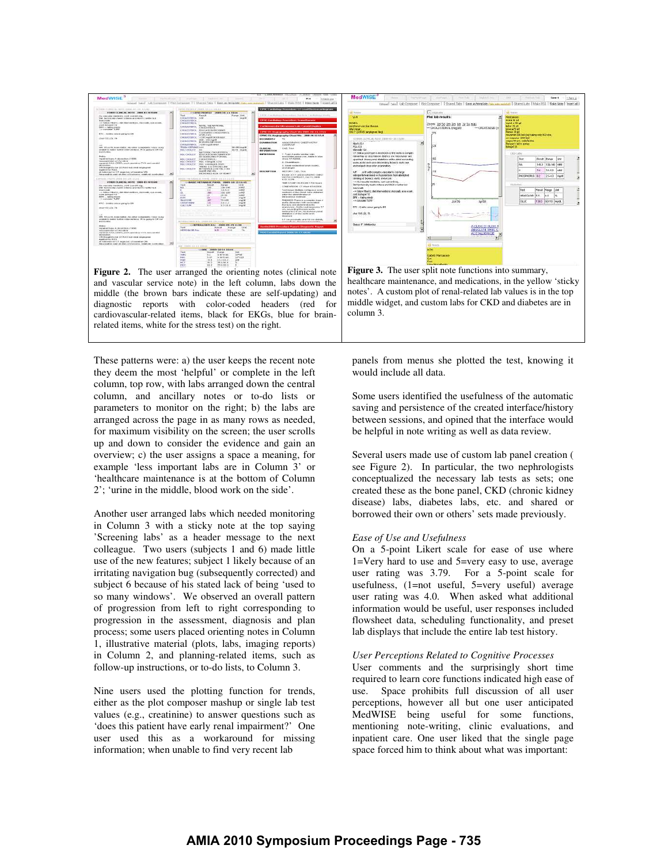

These patterns were: a) the user keeps the recent note they deem the most 'helpful' or complete in the left column, top row, with labs arranged down the central column, and ancillary notes or to-do lists or parameters to monitor on the right; b) the labs are arranged across the page in as many rows as needed, for maximum visibility on the screen; the user scrolls up and down to consider the evidence and gain an overview; c) the user assigns a space a meaning, for example 'less important labs are in Column 3' or 'healthcare maintenance is at the bottom of Column 2'; 'urine in the middle, blood work on the side'.

Another user arranged labs which needed monitoring in Column 3 with a sticky note at the top saying 'Screening labs' as a header message to the next colleague. Two users (subjects 1 and 6) made little use of the new features; subject 1 likely because of an irritating navigation bug (subsequently corrected) and subject 6 because of his stated lack of being 'used to so many windows'. We observed an overall pattern of progression from left to right corresponding to progression in the assessment, diagnosis and plan process; some users placed orienting notes in Column 1, illustrative material (plots, labs, imaging reports) in Column 2, and planning-related items, such as follow-up instructions, or to-do lists, to Column 3.

Nine users used the plotting function for trends, either as the plot composer mashup or single lab test values (e.g., creatinine) to answer questions such as 'does this patient have early renal impairment?' One user used this as a workaround for missing information; when unable to find very recent lab

panels from menus she plotted the test, knowing it would include all data.

Some users identified the usefulness of the automatic saving and persistence of the created interface/history between sessions, and opined that the interface would be helpful in note writing as well as data review.

Several users made use of custom lab panel creation ( see Figure 2). In particular, the two nephrologists conceptualized the necessary lab tests as sets; one created these as the bone panel, CKD (chronic kidney disease) labs, diabetes labs, etc. and shared or borrowed their own or others' sets made previously.

#### *Ease of Use and Usefulness*

On a 5-point Likert scale for ease of use where 1=Very hard to use and 5=very easy to use, average user rating was 3.79. For a 5-point scale for usefulness, (1=not useful, 5=very useful) average user rating was 4.0. When asked what additional information would be useful, user responses included flowsheet data, scheduling functionality, and preset lab displays that include the entire lab test history.

### *User Perceptions Related to Cognitive Processes*

User comments and the surprisingly short time required to learn core functions indicated high ease of use. Space prohibits full discussion of all user perceptions, however all but one user anticipated MedWISE being useful for some functions, mentioning note-writing, clinic evaluations, and inpatient care. One user liked that the single page space forced him to think about what was important: